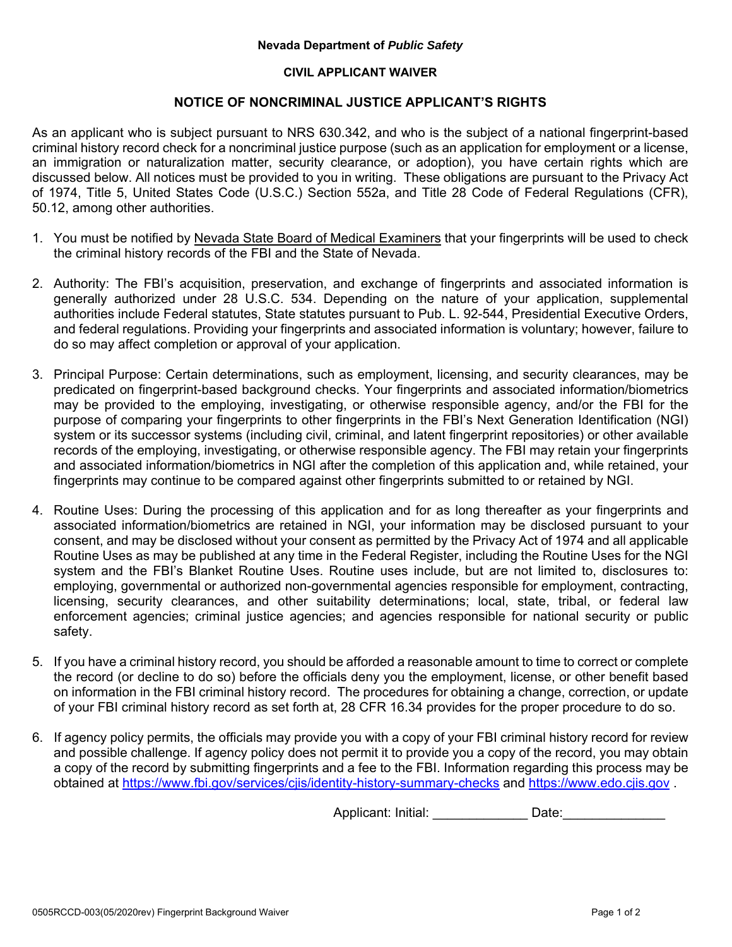## **Nevada Department of** *Public Safety*

## **CIVIL APPLICANT WAIVER**

## **NOTICE OF NONCRIMINAL JUSTICE APPLICANT'S RIGHTS**

As an applicant who is subject pursuant to NRS 630.342, and who is the subject of a national fingerprint-based criminal history record check for a noncriminal justice purpose (such as an application for employment or a license, an immigration or naturalization matter, security clearance, or adoption), you have certain rights which are discussed below. All notices must be provided to you in writing. These obligations are pursuant to the Privacy Act of 1974, Title 5, United States Code (U.S.C.) Section 552a, and Title 28 Code of Federal Regulations (CFR), 50.12, among other authorities.

- 1. You must be notified by Nevada State Board of Medical Examiners that your fingerprints will be used to check the criminal history records of the FBI and the State of Nevada.
- 2. Authority: The FBI's acquisition, preservation, and exchange of fingerprints and associated information is generally authorized under 28 U.S.C. 534. Depending on the nature of your application, supplemental authorities include Federal statutes, State statutes pursuant to Pub. L. 92-544, Presidential Executive Orders, and federal regulations. Providing your fingerprints and associated information is voluntary; however, failure to do so may affect completion or approval of your application.
- 3. Principal Purpose: Certain determinations, such as employment, licensing, and security clearances, may be predicated on fingerprint-based background checks. Your fingerprints and associated information/biometrics may be provided to the employing, investigating, or otherwise responsible agency, and/or the FBI for the purpose of comparing your fingerprints to other fingerprints in the FBI's Next Generation Identification (NGI) system or its successor systems (including civil, criminal, and latent fingerprint repositories) or other available records of the employing, investigating, or otherwise responsible agency. The FBI may retain your fingerprints and associated information/biometrics in NGI after the completion of this application and, while retained, your fingerprints may continue to be compared against other fingerprints submitted to or retained by NGI.
- 4. Routine Uses: During the processing of this application and for as long thereafter as your fingerprints and associated information/biometrics are retained in NGI, your information may be disclosed pursuant to your consent, and may be disclosed without your consent as permitted by the Privacy Act of 1974 and all applicable Routine Uses as may be published at any time in the Federal Register, including the Routine Uses for the NGI system and the FBI's Blanket Routine Uses. Routine uses include, but are not limited to, disclosures to: employing, governmental or authorized non-governmental agencies responsible for employment, contracting, licensing, security clearances, and other suitability determinations; local, state, tribal, or federal law enforcement agencies; criminal justice agencies; and agencies responsible for national security or public safety.
- 5. If you have a criminal history record, you should be afforded a reasonable amount to time to correct or complete the record (or decline to do so) before the officials deny you the employment, license, or other benefit based on information in the FBI criminal history record. The procedures for obtaining a change, correction, or update of your FBI criminal history record as set forth at, 28 CFR 16.34 provides for the proper procedure to do so.
- 6. If agency policy permits, the officials may provide you with a copy of your FBI criminal history record for review and possible challenge. If agency policy does not permit it to provide you a copy of the record, you may obtain a copy of the record by submitting fingerprints and a fee to the FBI. Information regarding this process may be obtained at https://www.fbi.gov/services/cjis/identity-history-summary-checks and https://www.edo.cjis.gov .

Applicant: Initial: example of Date: